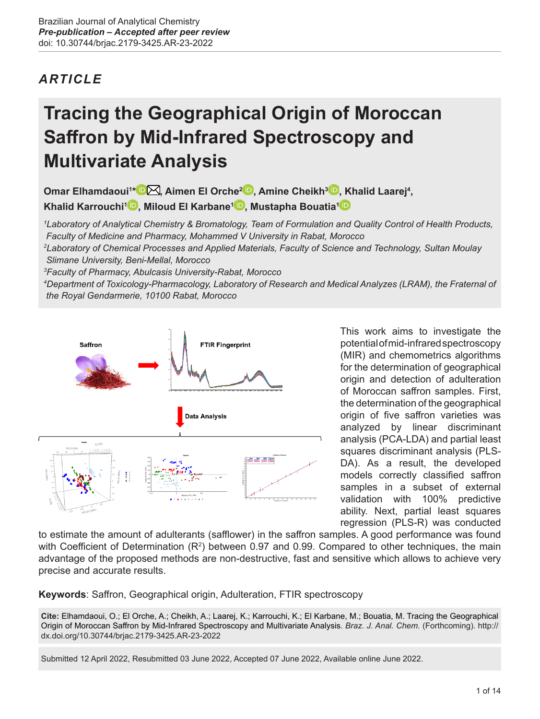# *ARTICLE*

# **Tracing the Geographical Origin of Moroccan Saffron by Mid-Infrared Spectroscopy and Multivariate Analysis**

**Omar Elhamdaoui<sup>1</sup> [\\*](https://orcid.org/0000-0002-6393-9571) [,](mailto:omar.elhamdaoui%40um5s.net.ma?subject=) Aimen El Orche2 [,](https://orcid.org/0000-0001-5352-2476) Amine Cheikh[3](https://orcid.org/0000-0002-5602-3004) , Khalid Laarej<sup>4</sup> , Khalid Karrouchi<sup>1</sup> [,](https://orcid.org/0000-0002-8075-8051) Miloud El Karbane<sup>1</sup> [,](https://orcid.org/0000-0001-9629-5517) Mustapha Bouatia[1](https://orcid.org/0000-0002-6700-4984)**

*1 Laboratory of Analytical Chemistry & Bromatology, Team of Formulation and Quality Control of Health Products, Faculty of Medicine and Pharmacy, Mohammed V University in Rabat, Morocco*

*2 Laboratory of Chemical Processes and Applied Materials, Faculty of Science and Technology, Sultan Moulay Slimane University, Beni-Mellal, Morocco*

*3 Faculty of Pharmacy, Abulcasis University-Rabat, Morocco*

*4 Department of Toxicology-Pharmacology, Laboratory of Research and Medical Analyzes (LRAM), the Fraternal of the Royal Gendarmerie, 10100 Rabat, Morocco*



This work aims to investigate the potential of mid-infrared spectroscopy (MIR) and chemometrics algorithms for the determination of geographical origin and detection of adulteration of Moroccan saffron samples. First, the determination of the geographical origin of five saffron varieties was analyzed by linear discriminant analysis (PCA-LDA) and partial least squares discriminant analysis (PLS-DA). As a result, the developed models correctly classified saffron samples in a subset of external validation with 100% predictive ability. Next, partial least squares regression (PLS-R) was conducted

to estimate the amount of adulterants (safflower) in the saffron samples. A good performance was found with Coefficient of Determination (R<sup>2</sup>) between 0.97 and 0.99. Compared to other techniques, the main advantage of the proposed methods are non-destructive, fast and sensitive which allows to achieve very precise and accurate results.

**Keywords**: Saffron, Geographical origin, Adulteration, FTIR spectroscopy

**Cite:** Elhamdaoui, O.; El Orche, A.; Cheikh, A.; Laarej, K.; Karrouchi, K.; El Karbane, M.; Bouatia, M. Tracing the Geographical Origin of Moroccan Saffron by Mid-Infrared Spectroscopy and Multivariate Analysis. *Braz. J. Anal. Chem.* (Forthcoming). [http://](http://dx.doi.org/10.30744/brjac.2179-3425.AR-23-2022) [dx.doi.org/10.30744/brjac.2179-3425.AR-23-2022](http://dx.doi.org/10.30744/brjac.2179-3425.AR-23-2022)

Submitted 12 April 2022, Resubmitted 03 June 2022, Accepted 07 June 2022, Available online June 2022.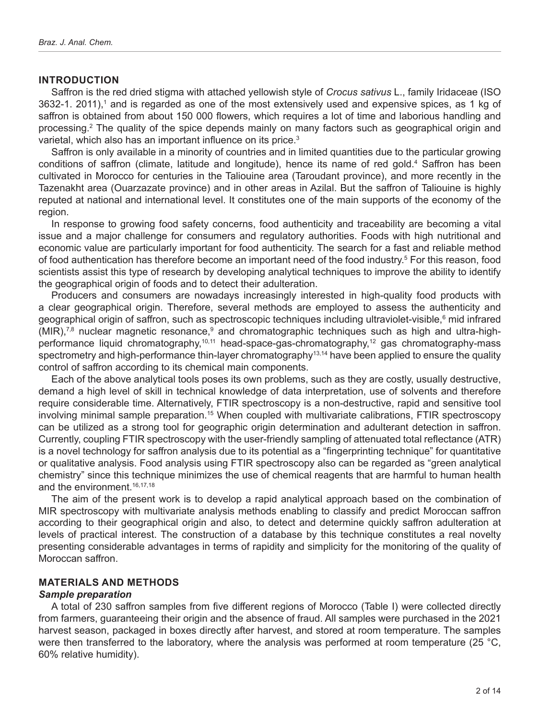#### **INTRODUCTION**

Saffron is the red dried stigma with attached yellowish style of *Crocus sativus* L., family Iridaceae (ISO 3632-1. 2011),1 and is regarded as one of the most extensively used and expensive spices, as 1 kg of saffron is obtained from about 150 000 flowers, which requires a lot of time and laborious handling and processing.2 The quality of the spice depends mainly on many factors such as geographical origin and varietal, which also has an important influence on its price.<sup>3</sup>

Saffron is only available in a minority of countries and in limited quantities due to the particular growing conditions of saffron (climate, latitude and longitude), hence its name of red gold.<sup>4</sup> Saffron has been cultivated in Morocco for centuries in the Taliouine area (Taroudant province), and more recently in the Tazenakht area (Ouarzazate province) and in other areas in Azilal. But the saffron of Taliouine is highly reputed at national and international level. It constitutes one of the main supports of the economy of the region.

In response to growing food safety concerns, food authenticity and traceability are becoming a vital issue and a major challenge for consumers and regulatory authorities. Foods with high nutritional and economic value are particularly important for food authenticity. The search for a fast and reliable method of food authentication has therefore become an important need of the food industry.<sup>5</sup> For this reason, food scientists assist this type of research by developing analytical techniques to improve the ability to identify the geographical origin of foods and to detect their adulteration.

Producers and consumers are nowadays increasingly interested in high-quality food products with a clear geographical origin. Therefore, several methods are employed to assess the authenticity and geographical origin of saffron, such as spectroscopic techniques including ultraviolet-visible,<sup>6</sup> mid infrared (MIR),<sup>7,8</sup> nuclear magnetic resonance,<sup>9</sup> and chromatographic techniques such as high and ultra-highperformance liquid chromatography,10,11 head-space-gas-chromatography,12 gas chromatography-mass spectrometry and high-performance thin-layer chromatography<sup>13,14</sup> have been applied to ensure the quality control of saffron according to its chemical main components.

Each of the above analytical tools poses its own problems, such as they are costly, usually destructive, demand a high level of skill in technical knowledge of data interpretation, use of solvents and therefore require considerable time. Alternatively, FTIR spectroscopy is a non-destructive, rapid and sensitive tool involving minimal sample preparation.15 When coupled with multivariate calibrations, FTIR spectroscopy can be utilized as a strong tool for geographic origin determination and adulterant detection in saffron. Currently, coupling FTIR spectroscopy with the user-friendly sampling of attenuated total reflectance (ATR) is a novel technology for saffron analysis due to its potential as a "fingerprinting technique" for quantitative or qualitative analysis. Food analysis using FTIR spectroscopy also can be regarded as "green analytical chemistry" since this technique minimizes the use of chemical reagents that are harmful to human health and the environment.<sup>16,17,18</sup>

The aim of the present work is to develop a rapid analytical approach based on the combination of MIR spectroscopy with multivariate analysis methods enabling to classify and predict Moroccan saffron according to their geographical origin and also, to detect and determine quickly saffron adulteration at levels of practical interest. The construction of a database by this technique constitutes a real novelty presenting considerable advantages in terms of rapidity and simplicity for the monitoring of the quality of Moroccan saffron.

# **MATERIALS AND METHODS**

#### *Sample preparation*

A total of 230 saffron samples from five different regions of Morocco (Table I) were collected directly from farmers, guaranteeing their origin and the absence of fraud. All samples were purchased in the 2021 harvest season, packaged in boxes directly after harvest, and stored at room temperature. The samples were then transferred to the laboratory, where the analysis was performed at room temperature (25 °C, 60% relative humidity).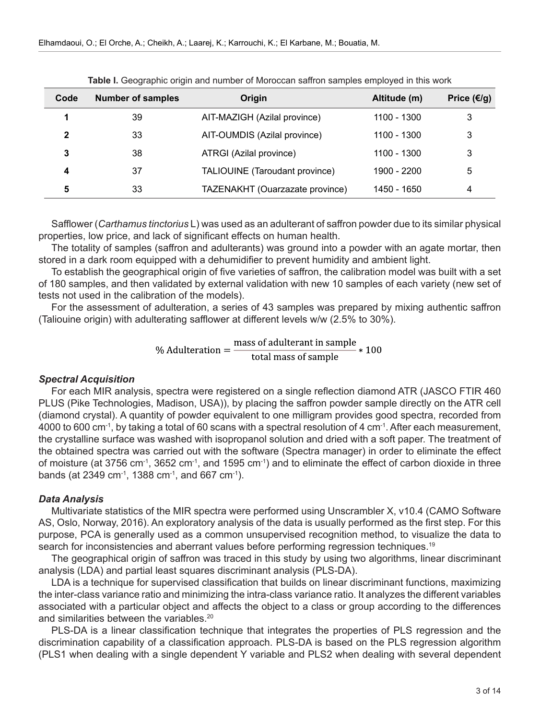| Code | <b>Number of samples</b> | Origin                          | Altitude (m) | Price (€/g) |
|------|--------------------------|---------------------------------|--------------|-------------|
|      | 39                       | AIT-MAZIGH (Azilal province)    | 1100 - 1300  | 3           |
| 2    | 33                       | AIT-OUMDIS (Azilal province)    | 1100 - 1300  | 3           |
| 3    | 38                       | ATRGI (Azilal province)         | 1100 - 1300  | 3           |
| 4    | 37                       | TALIOUINE (Taroudant province)  | 1900 - 2200  | 5           |
| 5    | 33                       | TAZENAKHT (Ouarzazate province) | 1450 - 1650  | 4           |

**Table I.** Geographic origin and number of Moroccan saffron samples employed in this work

Safflower (*Carthamus tinctorius* L) was used as an adulterant of saffron powder due to its similar physical properties, low price, and lack of significant effects on human health.

The totality of samples (saffron and adulterants) was ground into a powder with an agate mortar, then stored in a dark room equipped with a dehumidifier to prevent humidity and ambient light.

To establish the geographical origin of five varieties of saffron, the calibration model was built with a set of 180 samples, and then validated by external validation with new 10 samples of each variety (new set of tests not used in the calibration of the models).

For the assessment of adulteration, a series of 43 samples was prepared by mixing authentic saffron (Taliouine origin) with adulterating safflower at different levels w/w (2.5% to 30%).

% Adulteration =  $\frac{\text{mass of add }t}{\text{total mass of sample}} * 100$ 

## *Spectral Acquisition*

For each MIR analysis, spectra were registered on a single reflection diamond ATR (JASCO FTIR 460 PLUS (Pike Technologies, Madison, USA)), by placing the saffron powder sample directly on the ATR cell (diamond crystal). A quantity of powder equivalent to one milligram provides good spectra, recorded from 4000 to 600 cm-1, by taking a total of 60 scans with a spectral resolution of 4 cm-1. After each measurement, the crystalline surface was washed with isopropanol solution and dried with a soft paper. The treatment of the obtained spectra was carried out with the software (Spectra manager) in order to eliminate the effect of moisture (at 3756 cm-1, 3652 cm-1, and 1595 cm-1) and to eliminate the effect of carbon dioxide in three bands (at 2349 cm<sup>-1</sup>, 1388 cm<sup>-1</sup>, and 667 cm<sup>-1</sup>).

## *Data Analysis*

Multivariate statistics of the MIR spectra were performed using Unscrambler X, v10.4 (CAMO Software AS, Oslo, Norway, 2016). An exploratory analysis of the data is usually performed as the first step. For this purpose, PCA is generally used as a common unsupervised recognition method, to visualize the data to search for inconsistencies and aberrant values before performing regression techniques.<sup>19</sup>

The geographical origin of saffron was traced in this study by using two algorithms, linear discriminant analysis (LDA) and partial least squares discriminant analysis (PLS-DA).

LDA is a technique for supervised classification that builds on linear discriminant functions, maximizing the inter-class variance ratio and minimizing the intra-class variance ratio. It analyzes the different variables associated with a particular object and affects the object to a class or group according to the differences and similarities between the variables.<sup>20</sup>

PLS-DA is a linear classification technique that integrates the properties of PLS regression and the discrimination capability of a classification approach. PLS-DA is based on the PLS regression algorithm (PLS1 when dealing with a single dependent Y variable and PLS2 when dealing with several dependent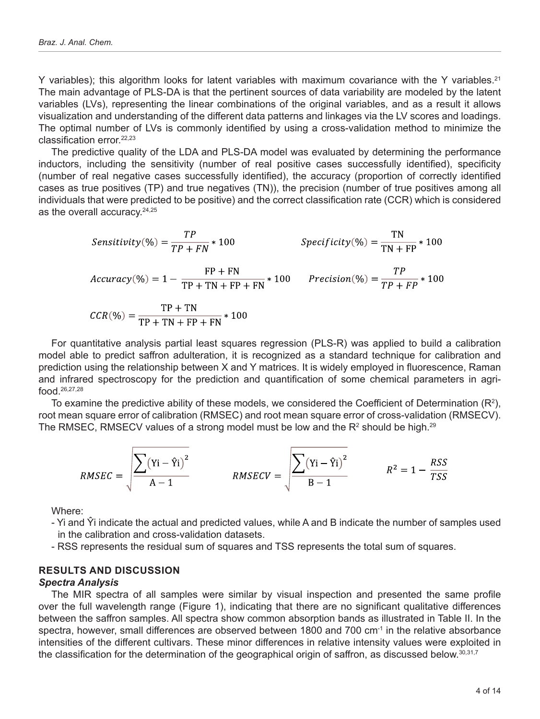Y variables); this algorithm looks for latent variables with maximum covariance with the Y variables.<sup>21</sup> The main advantage of PLS-DA is that the pertinent sources of data variability are modeled by the latent variables (LVs), representing the linear combinations of the original variables, and as a result it allows visualization and understanding of the different data patterns and linkages via the LV scores and loadings. The optimal number of LVs is commonly identified by using a cross-validation method to minimize the classification error.22,23

The predictive quality of the LDA and PLS-DA model was evaluated by determining the performance inductors, including the sensitivity (number of real positive cases successfully identified), specificity (number of real negative cases successfully identified), the accuracy (proportion of correctly identified cases as true positives (TP) and true negatives (TN)), the precision (number of true positives among all individuals that were predicted to be positive) and the correct classification rate (CCR) which is considered as the overall accuracy.<sup>24,25</sup>

Sensitivity(
$$
\%
$$
) =  $\frac{TP}{TP + FN}$  \* 100  
\n
$$
Specificity(\%) = \frac{TN}{TN + FP}
$$
 \* 100  
\n
$$
Accuracy(\%) = 1 - \frac{FP + FN}{TP + TN + FP + FN}
$$
 \* 100  
\n
$$
CCR(\%) = \frac{TP + TN}{TP + TN + FP + FN}
$$
 \* 100  
\n
$$
CCR(\%) = \frac{TP + TN}{TP + TN + FP + FN}
$$
 \* 100

For quantitative analysis partial least squares regression (PLS-R) was applied to build a calibration model able to predict saffron adulteration, it is recognized as a standard technique for calibration and prediction using the relationship between X and Y matrices. It is widely employed in fluorescence, Raman and infrared spectroscopy for the prediction and quantification of some chemical parameters in agrifood.26,27,28

To examine the predictive ability of these models, we considered the Coefficient of Determination (R<sup>2</sup>), root mean square error of calibration (RMSEC) and root mean square error of cross-validation (RMSECV). The RMSEC, RMSECV values of a strong model must be low and the R $^{\rm 2}$  should be high. $^{29}$ 

$$
RMSEC = \sqrt{\frac{\sum (Yi - \hat{Y}i)^2}{A - 1}}
$$

$$
RMSEC = \sqrt{\frac{\sum (Yi - \hat{Y}i)^2}{B - 1}}
$$

$$
R^2 = 1 - \frac{RSS}{TSS}
$$

Where:

- Yi and Ŷi indicate the actual and predicted values, while A and B indicate the number of samples used in the calibration and cross-validation datasets.
- RSS represents the residual sum of squares and TSS represents the total sum of squares.

# **RESULTS AND DISCUSSION**

# *Spectra Analysis*

The MIR spectra of all samples were similar by visual inspection and presented the same profile over the full wavelength range (Figure 1), indicating that there are no significant qualitative differences between the saffron samples. All spectra show common absorption bands as illustrated in Table II. In the spectra, however, small differences are observed between 1800 and 700 cm<sup>-1</sup> in the relative absorbance intensities of the different cultivars. These minor differences in relative intensity values were exploited in the classification for the determination of the geographical origin of saffron, as discussed below. $^{\rm 30,31,7}$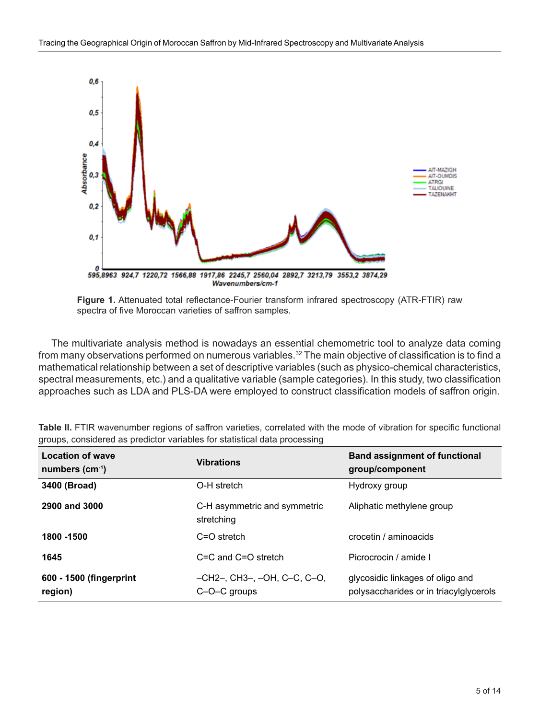

**Figure 1.** Attenuated total reflectance-Fourier transform infrared spectroscopy (ATR-FTIR) raw spectra of five Moroccan varieties of saffron samples.

The multivariate analysis method is nowadays an essential chemometric tool to analyze data coming from many observations performed on numerous variables.<sup>32</sup> The main objective of classification is to find a mathematical relationship between a set of descriptive variables (such as physico-chemical characteristics, spectral measurements, etc.) and a qualitative variable (sample categories). In this study, two classification approaches such as LDA and PLS-DA were employed to construct classification models of saffron origin.

| <b>Location of wave</b><br>numbers $(cm-1)$ | <b>Vibrations</b>                           | <b>Band assignment of functional</b><br>group/component                    |
|---------------------------------------------|---------------------------------------------|----------------------------------------------------------------------------|
| 3400 (Broad)                                | O-H stretch                                 | Hydroxy group                                                              |
| 2900 and 3000                               | C-H asymmetric and symmetric<br>stretching  | Aliphatic methylene group                                                  |
| 1800 - 1500                                 | $C = O$ stretch                             | crocetin / aminoacids                                                      |
| 1645                                        | $C = C$ and $C = O$ stretch                 | Picrocrocin / amide I                                                      |
| 600 - 1500 (fingerprint<br>region)          | –CH2–. CH3–. –OH. C–C. C–O.<br>C-O-C groups | glycosidic linkages of oligo and<br>polysaccharides or in triacylglycerols |

**Table II.** FTIR wavenumber regions of saffron varieties, correlated with the mode of vibration for specific functional groups, considered as predictor variables for statistical data processing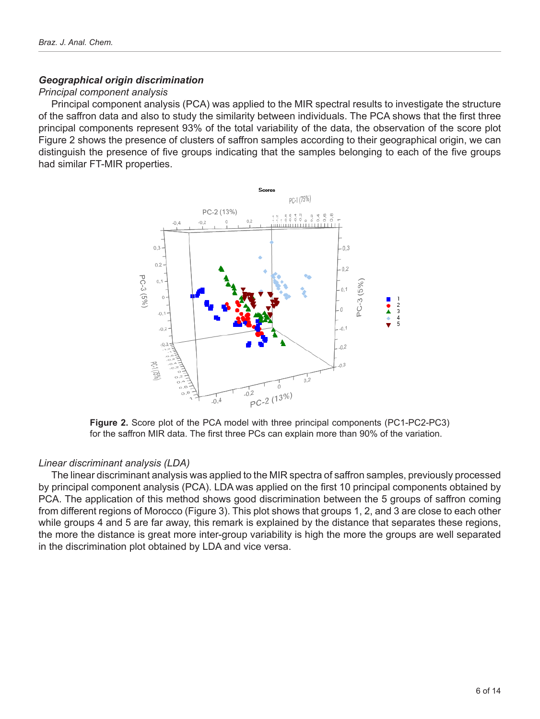# *Geographical origin discrimination*

# *Principal component analysis*

Principal component analysis (PCA) was applied to the MIR spectral results to investigate the structure of the saffron data and also to study the similarity between individuals. The PCA shows that the first three principal components represent 93% of the total variability of the data, the observation of the score plot Figure 2 shows the presence of clusters of saffron samples according to their geographical origin, we can distinguish the presence of five groups indicating that the samples belonging to each of the five groups had similar FT-MIR properties.



**Figure 2.** Score plot of the PCA model with three principal components (PC1-PC2-PC3) for the saffron MIR data. The first three PCs can explain more than 90% of the variation.

# *Linear discriminant analysis (LDA)*

The linear discriminant analysis was applied to the MIR spectra of saffron samples, previously processed by principal component analysis (PCA). LDA was applied on the first 10 principal components obtained by PCA. The application of this method shows good discrimination between the 5 groups of saffron coming from different regions of Morocco (Figure 3). This plot shows that groups 1, 2, and 3 are close to each other while groups 4 and 5 are far away, this remark is explained by the distance that separates these regions, the more the distance is great more inter-group variability is high the more the groups are well separated in the discrimination plot obtained by LDA and vice versa.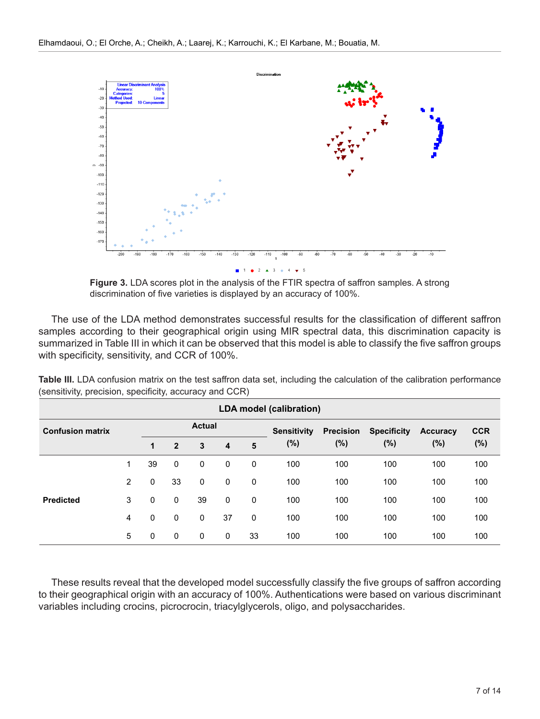

**Figure 3.** LDA scores plot in the analysis of the FTIR spectra of saffron samples. A strong discrimination of five varieties is displayed by an accuracy of 100%.

The use of the LDA method demonstrates successful results for the classification of different saffron samples according to their geographical origin using MIR spectral data, this discrimination capacity is summarized in Table III in which it can be observed that this model is able to classify the five saffron groups with specificity, sensitivity, and CCR of 100%.

| <b>LDA model (calibration)</b> |   |              |                                                                |               |             |              |                    |                  |                    |                 |            |
|--------------------------------|---|--------------|----------------------------------------------------------------|---------------|-------------|--------------|--------------------|------------------|--------------------|-----------------|------------|
| <b>Confusion matrix</b>        |   |              |                                                                | <b>Actual</b> |             |              | <b>Sensitivity</b> | <b>Precision</b> | <b>Specificity</b> | <b>Accuracy</b> | <b>CCR</b> |
|                                |   | $\mathbf{1}$ | $(\% )$<br>$\overline{2}$<br>5<br>3<br>$\overline{\mathbf{4}}$ |               | $(\%)$      | $(\%)$       | $(\%)$             | $(\%)$           |                    |                 |            |
|                                | 1 | 39           | $\mathbf 0$                                                    | 0             | 0           | 0            | 100                | 100              | 100                | 100             | 100        |
|                                | 2 | 0            | 33                                                             | 0             | 0           | 0            | 100                | 100              | 100                | 100             | 100        |
| <b>Predicted</b>               | 3 | $\mathbf 0$  | $\mathbf 0$                                                    | 39            | $\mathbf 0$ | 0            | 100                | 100              | 100                | 100             | 100        |
|                                | 4 | $\mathbf 0$  | $\mathbf 0$                                                    | 0             | 37          | $\mathbf{0}$ | 100                | 100              | 100                | 100             | 100        |
|                                | 5 | 0            | $\mathbf 0$                                                    | 0             | 0           | 33           | 100                | 100              | 100                | 100             | 100        |

**Table III.** LDA confusion matrix on the test saffron data set, including the calculation of the calibration performance (sensitivity, precision, specificity, accuracy and CCR)

These results reveal that the developed model successfully classify the five groups of saffron according to their geographical origin with an accuracy of 100%. Authentications were based on various discriminant variables including crocins, picrocrocin, triacylglycerols, oligo, and polysaccharides.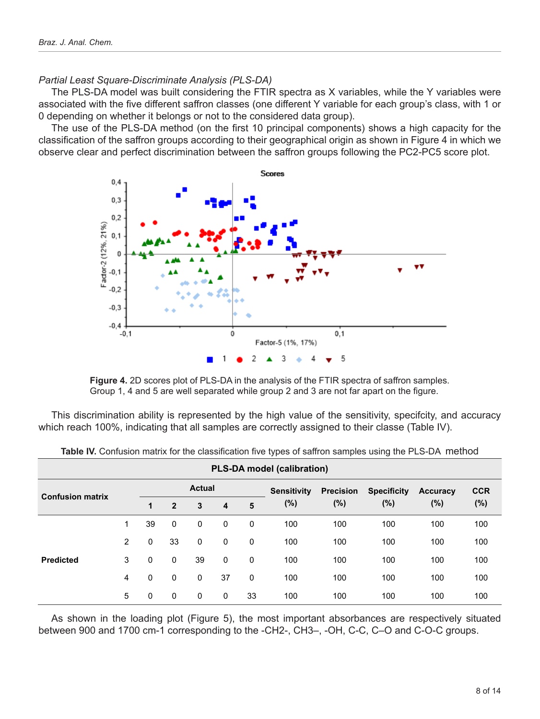# *Partial Least Square-Discriminate Analysis (PLS-DA)*

The PLS-DA model was built considering the FTIR spectra as X variables, while the Y variables were associated with the five different saffron classes (one different Y variable for each group's class, with 1 or 0 depending on whether it belongs or not to the considered data group).

The use of the PLS-DA method (on the first 10 principal components) shows a high capacity for the classification of the saffron groups according to their geographical origin as shown in Figure 4 in which we observe clear and perfect discrimination between the saffron groups following the PC2-PC5 score plot.



**Figure 4.** 2D scores plot of PLS-DA in the analysis of the FTIR spectra of saffron samples. Group 1, 4 and 5 are well separated while group 2 and 3 are not far apart on the figure.

This discrimination ability is represented by the high value of the sensitivity, specifcity, and accuracy which reach 100%, indicating that all samples are correctly assigned to their classe (Table IV).

| <b>PLS-DA model (calibration)</b> |   |    |                |               |             |    |                              |                            |                              |                           |                      |
|-----------------------------------|---|----|----------------|---------------|-------------|----|------------------------------|----------------------------|------------------------------|---------------------------|----------------------|
|                                   |   |    |                | <b>Actual</b> |             |    | <b>Sensitivity</b><br>$(\%)$ | <b>Precision</b><br>$(\%)$ | <b>Specificity</b><br>$(\%)$ | <b>Accuracy</b><br>$(\%)$ | <b>CCR</b><br>$(\%)$ |
| <b>Confusion matrix</b>           |   | 1  | $\overline{2}$ | 3             | 4           | 5  |                              |                            |                              |                           |                      |
|                                   | 1 | 39 | $\mathbf{0}$   | 0             | 0           | 0  | 100                          | 100                        | 100                          | 100                       | 100                  |
|                                   | 2 | 0  | 33             | $\mathbf 0$   | $\mathbf 0$ | 0  | 100                          | 100                        | 100                          | 100                       | 100                  |
| <b>Predicted</b>                  | 3 | 0  | 0              | 39            | $\mathbf 0$ | 0  | 100                          | 100                        | 100                          | 100                       | 100                  |
|                                   | 4 | 0  | $\mathbf 0$    | 0             | 37          | 0  | 100                          | 100                        | 100                          | 100                       | 100                  |
|                                   | 5 | 0  | $\mathbf{0}$   | 0             | 0           | 33 | 100                          | 100                        | 100                          | 100                       | 100                  |

**Table IV.** Confusion matrix for the classification five types of saffron samples using the PLS-DA method

As shown in the loading plot (Figure 5), the most important absorbances are respectively situated between 900 and 1700 cm-1 corresponding to the -CH2-, CH3–, -OH, C-C, C–O and C-O-C groups.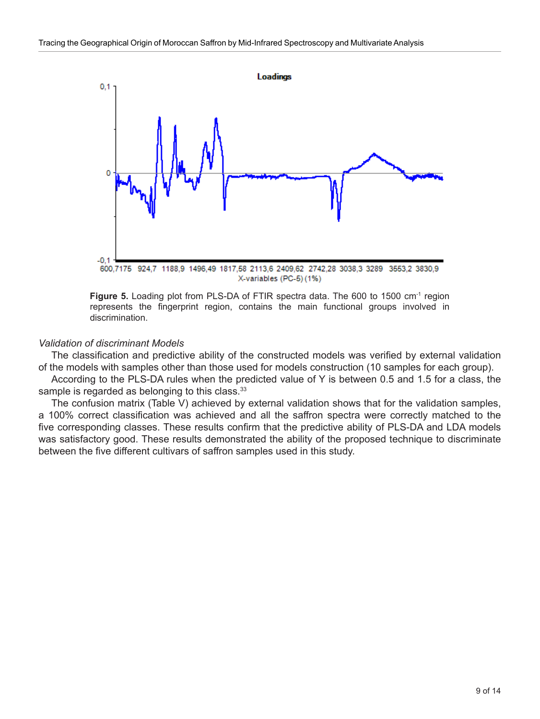

Figure 5. Loading plot from PLS-DA of FTIR spectra data. The 600 to 1500 cm<sup>-1</sup> region represents the fingerprint region, contains the main functional groups involved in discrimination.

## *Validation of discriminant Models*

The classification and predictive ability of the constructed models was verified by external validation of the models with samples other than those used for models construction (10 samples for each group).

According to the PLS-DA rules when the predicted value of Y is between 0.5 and 1.5 for a class, the sample is regarded as belonging to this class.<sup>33</sup>

The confusion matrix (Table V) achieved by external validation shows that for the validation samples, a 100% correct classification was achieved and all the saffron spectra were correctly matched to the five corresponding classes. These results confirm that the predictive ability of PLS-DA and LDA models was satisfactory good. These results demonstrated the ability of the proposed technique to discriminate between the five different cultivars of saffron samples used in this study.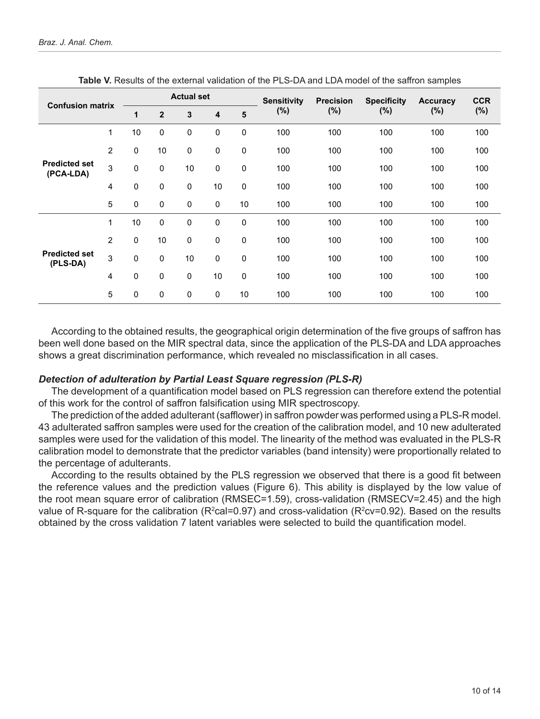|                                   |                |             |                | <b>Actual set</b> |             |                 | <b>Sensitivity</b> | <b>Precision</b> | <b>Specificity</b> | Accuracy | <b>CCR</b> |
|-----------------------------------|----------------|-------------|----------------|-------------------|-------------|-----------------|--------------------|------------------|--------------------|----------|------------|
| <b>Confusion matrix</b>           |                | 1           | $\overline{2}$ | 3                 | 4           | $5\phantom{.0}$ | (%)                | (%)              | (%)                | (%)      | $(\% )$    |
|                                   | 1              | 10          | $\pmb{0}$      | 0                 | 0           | $\mathbf 0$     | 100                | 100              | 100                | 100      | 100        |
|                                   | $\overline{2}$ | $\mathbf 0$ | 10             | $\pmb{0}$         | $\mathbf 0$ | $\mathbf 0$     | 100                | 100              | 100                | 100      | 100        |
| <b>Predicted set</b><br>(PCA-LDA) | 3              | $\mathbf 0$ | $\mathbf 0$    | 10                | $\mathbf 0$ | $\mathbf 0$     | 100                | 100              | 100                | 100      | 100        |
|                                   | 4              | $\mathbf 0$ | $\mathbf 0$    | 0                 | 10          | $\mathbf 0$     | 100                | 100              | 100                | 100      | 100        |
|                                   | 5              | $\mathbf 0$ | $\mathbf 0$    | 0                 | $\mathbf 0$ | 10              | 100                | 100              | 100                | 100      | 100        |
|                                   | 1              | 10          | $\mathbf 0$    | 0                 | 0           | $\mathbf 0$     | 100                | 100              | 100                | 100      | 100        |
|                                   | $\overline{2}$ | $\Omega$    | 10             | $\pmb{0}$         | $\mathbf 0$ | $\mathbf 0$     | 100                | 100              | 100                | 100      | 100        |
| <b>Predicted set</b><br>(PLS-DA)  | 3              | $\mathbf 0$ | $\mathbf 0$    | 10                | 0           | $\mathbf 0$     | 100                | 100              | 100                | 100      | 100        |
|                                   | 4              | $\mathbf 0$ | $\pmb{0}$      | 0                 | 10          | $\pmb{0}$       | 100                | 100              | 100                | 100      | 100        |
|                                   | 5              | $\pmb{0}$   | 0              | 0                 | 0           | 10              | 100                | 100              | 100                | 100      | 100        |

**Table V.** Results of the external validation of the PLS-DA and LDA model of the saffron samples

According to the obtained results, the geographical origin determination of the five groups of saffron has been well done based on the MIR spectral data, since the application of the PLS-DA and LDA approaches shows a great discrimination performance, which revealed no misclassification in all cases.

#### *Detection of adulteration by Partial Least Square regression (PLS-R)*

The development of a quantification model based on PLS regression can therefore extend the potential of this work for the control of saffron falsification using MIR spectroscopy.

The prediction of the added adulterant (safflower) in saffron powder was performed using a PLS-R model. 43 adulterated saffron samples were used for the creation of the calibration model, and 10 new adulterated samples were used for the validation of this model. The linearity of the method was evaluated in the PLS-R calibration model to demonstrate that the predictor variables (band intensity) were proportionally related to the percentage of adulterants.

According to the results obtained by the PLS regression we observed that there is a good fit between the reference values and the prediction values (Figure 6). This ability is displayed by the low value of the root mean square error of calibration (RMSEC=1.59), cross-validation (RMSECV=2.45) and the high value of R-square for the calibration (R<sup>2</sup>cal=0.97) and cross-validation (R<sup>2</sup>cv=0.92). Based on the results obtained by the cross validation 7 latent variables were selected to build the quantification model.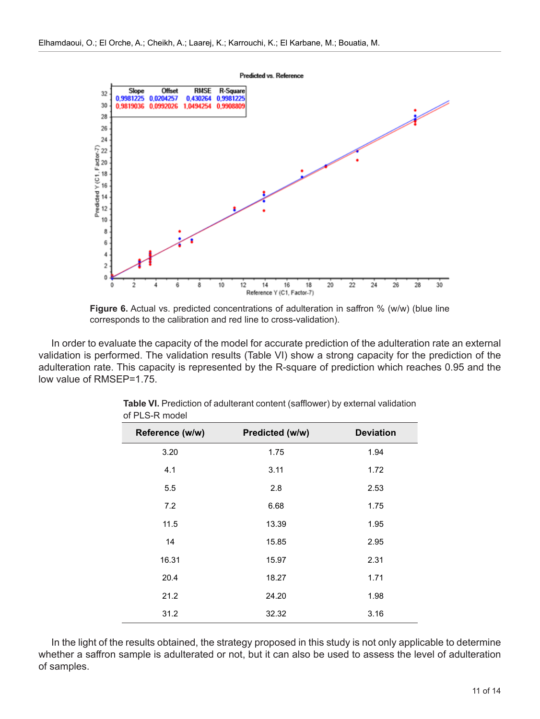

**Figure 6.** Actual vs. predicted concentrations of adulteration in saffron % (w/w) (blue line corresponds to the calibration and red line to cross-validation).

In order to evaluate the capacity of the model for accurate prediction of the adulteration rate an external validation is performed. The validation results (Table VI) show a strong capacity for the prediction of the adulteration rate. This capacity is represented by the R-square of prediction which reaches 0.95 and the low value of RMSEP=1.75.

| Reference (w/w) | Predicted (w/w) | <b>Deviation</b> |
|-----------------|-----------------|------------------|
| 3.20            | 1.75            | 1.94             |
| 4.1             | 3.11            | 1.72             |
| 5.5             | 2.8             | 2.53             |
| 7.2             | 6.68            | 1.75             |
| 11.5            | 13.39           | 1.95             |
| 14              | 15.85           | 2.95             |
| 16.31           | 15.97           | 2.31             |
| 20.4            | 18.27           | 1.71             |
| 21.2            | 24.20           | 1.98             |
| 31.2            | 32.32           | 3.16             |

| Table VI. Prediction of adulterant content (safflower) by external validation |
|-------------------------------------------------------------------------------|
| of PLS-R model                                                                |

In the light of the results obtained, the strategy proposed in this study is not only applicable to determine whether a saffron sample is adulterated or not, but it can also be used to assess the level of adulteration of samples.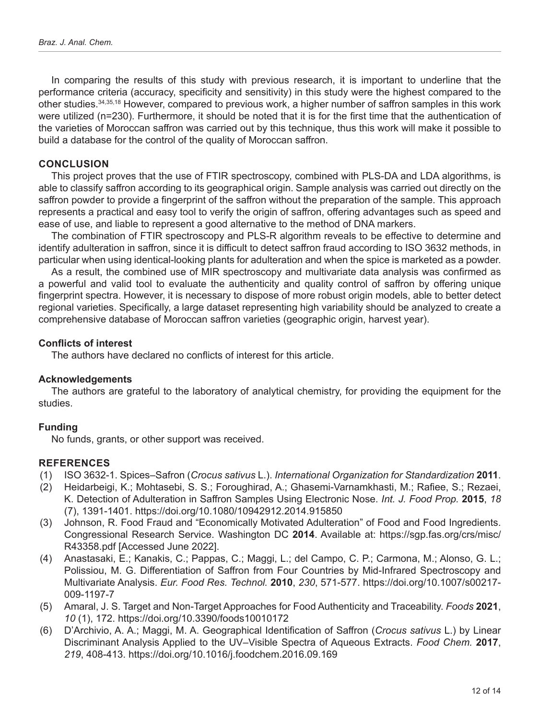In comparing the results of this study with previous research, it is important to underline that the performance criteria (accuracy, specificity and sensitivity) in this study were the highest compared to the other studies.34,35,18 However, compared to previous work, a higher number of saffron samples in this work were utilized (n=230). Furthermore, it should be noted that it is for the first time that the authentication of the varieties of Moroccan saffron was carried out by this technique, thus this work will make it possible to build a database for the control of the quality of Moroccan saffron.

# **CONCLUSION**

This project proves that the use of FTIR spectroscopy, combined with PLS-DA and LDA algorithms, is able to classify saffron according to its geographical origin. Sample analysis was carried out directly on the saffron powder to provide a fingerprint of the saffron without the preparation of the sample. This approach represents a practical and easy tool to verify the origin of saffron, offering advantages such as speed and ease of use, and liable to represent a good alternative to the method of DNA markers.

The combination of FTIR spectroscopy and PLS-R algorithm reveals to be effective to determine and identify adulteration in saffron, since it is difficult to detect saffron fraud according to ISO 3632 methods, in particular when using identical-looking plants for adulteration and when the spice is marketed as a powder.

As a result, the combined use of MIR spectroscopy and multivariate data analysis was confirmed as a powerful and valid tool to evaluate the authenticity and quality control of saffron by offering unique fingerprint spectra. However, it is necessary to dispose of more robust origin models, able to better detect regional varieties. Specifically, a large dataset representing high variability should be analyzed to create a comprehensive database of Moroccan saffron varieties (geographic origin, harvest year).

## **Conflicts of interest**

The authors have declared no conflicts of interest for this article.

## **Acknowledgements**

The authors are grateful to the laboratory of analytical chemistry, for providing the equipment for the studies.

## **Funding**

No funds, grants, or other support was received.

## **REFERENCES**

- (1) ISO 3632-1. Spices–Safron (*Crocus sativus* L.). *International Organization for Standardization* **2011**.
- (2) Heidarbeigi, K.; Mohtasebi, S. S.; Foroughirad, A.; Ghasemi-Varnamkhasti, M.; Rafiee, S.; Rezaei, K. Detection of Adulteration in Saffron Samples Using Electronic Nose. *Int. J. Food Prop.* **2015**, *18* (7), 1391-1401. https://doi.org/10.1080/10942912.2014.915850
- (3) Johnson, R. Food Fraud and "Economically Motivated Adulteration" of Food and Food Ingredients. Congressional Research Service. Washington DC **2014**. Available at: [https://sgp.fas.org/crs/misc/](https://sgp.fas.org/crs/misc/R43358.pdf) [R43358.pdf](https://sgp.fas.org/crs/misc/R43358.pdf) [Accessed June 2022].
- (4) Anastasaki, E.; Kanakis, C.; Pappas, C.; Maggi, L.; del Campo, C. P.; Carmona, M.; Alonso, G. L.; Polissiou, M. G. Differentiation of Saffron from Four Countries by Mid-Infrared Spectroscopy and Multivariate Analysis. *Eur. Food Res. Technol.* **2010**, *230*, 571-577. https://doi.org/10.1007/s00217- 009-1197-7
- (5) Amaral, J. S. Target and Non-Target Approaches for Food Authenticity and Traceability. *Foods* **2021**, *10* (1), 172. https://doi.org/10.3390/foods10010172
- (6) D'Archivio, A. A.; Maggi, M. A. Geographical Identification of Saffron (*Crocus sativus* L.) by Linear Discriminant Analysis Applied to the UV–Visible Spectra of Aqueous Extracts. *Food Chem.* **2017**, *219*, 408-413. https://doi.org/10.1016/j.foodchem.2016.09.169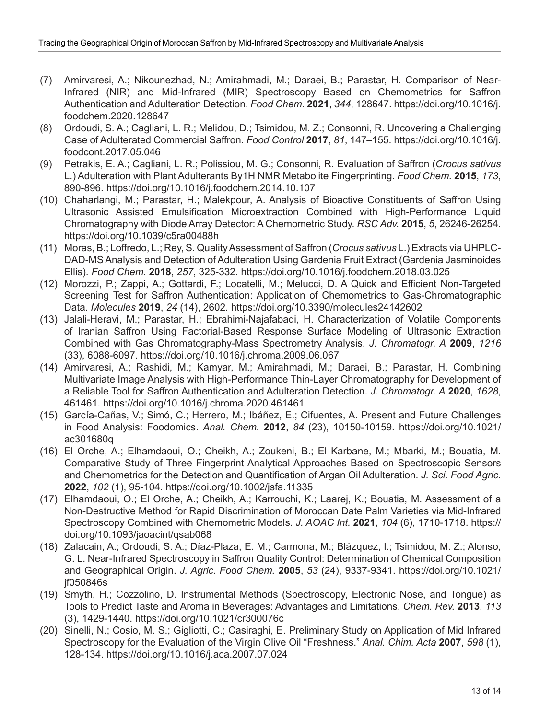- (7) Amirvaresi, A.; Nikounezhad, N.; Amirahmadi, M.; Daraei, B.; Parastar, H. Comparison of Near-Infrared (NIR) and Mid-Infrared (MIR) Spectroscopy Based on Chemometrics for Saffron Authentication and Adulteration Detection. *Food Chem.* **2021**, *344*, 128647. [https://doi.org/10.1016/j.](https://doi.org/10.1016/j.foodchem.2020.128647) [foodchem.2020.128647](https://doi.org/10.1016/j.foodchem.2020.128647)
- (8) Ordoudi, S. A.; Cagliani, L. R.; Melidou, D.; Tsimidou, M. Z.; Consonni, R. Uncovering a Challenging Case of Adulterated Commercial Saffron. *Food Control* **2017**, *81*, 147–155. [https://doi.org/10.1016/j.](https://doi.org/10.1016/j.foodcont.2017.05.046) [foodcont.2017.05.046](https://doi.org/10.1016/j.foodcont.2017.05.046)
- (9) Petrakis, E. A.; Cagliani, L. R.; Polissiou, M. G.; Consonni, R. Evaluation of Saffron (*Crocus sativus*  L.) Adulteration with Plant Adulterants By1H NMR Metabolite Fingerprinting. *Food Chem.* **2015**, *173*, 890-896. https://doi.org/10.1016/j.foodchem.2014.10.107
- (10) Chaharlangi, M.; Parastar, H.; Malekpour, A. Analysis of Bioactive Constituents of Saffron Using Ultrasonic Assisted Emulsification Microextraction Combined with High-Performance Liquid Chromatography with Diode Array Detector: A Chemometric Study. *RSC Adv.* **2015**, *5*, 26246-26254. https://doi.org/10.1039/c5ra00488h
- (11) Moras, B.; Loffredo, L.; Rey, S. Quality Assessment of Saffron (*Crocus sativus* L.) Extracts via UHPLC-DAD-MS Analysis and Detection of Adulteration Using Gardenia Fruit Extract (Gardenia Jasminoides Ellis). *Food Chem.* **2018**, *257*, 325-332. https://doi.org/10.1016/j.foodchem.2018.03.025
- (12) Morozzi, P.; Zappi, A.; Gottardi, F.; Locatelli, M.; Melucci, D. A Quick and Efficient Non-Targeted Screening Test for Saffron Authentication: Application of Chemometrics to Gas-Chromatographic Data. *Molecules* **2019**, *24* (14), 2602. https://doi.org/10.3390/molecules24142602
- (13) Jalali-Heravi, M.; Parastar, H.; Ebrahimi-Najafabadi, H. Characterization of Volatile Components of Iranian Saffron Using Factorial-Based Response Surface Modeling of Ultrasonic Extraction Combined with Gas Chromatography-Mass Spectrometry Analysis. *J. Chromatogr. A* **2009**, *1216* (33), 6088-6097. https://doi.org/10.1016/j.chroma.2009.06.067
- (14) Amirvaresi, A.; Rashidi, M.; Kamyar, M.; Amirahmadi, M.; Daraei, B.; Parastar, H. Combining Multivariate Image Analysis with High-Performance Thin-Layer Chromatography for Development of a Reliable Tool for Saffron Authentication and Adulteration Detection. *J. Chromatogr. A* **2020**, *1628*, 461461. https://doi.org/10.1016/j.chroma.2020.461461
- (15) García-Cañas, V.; Simó, C.; Herrero, M.; Ibáñez, E.; Cifuentes, A. Present and Future Challenges in Food Analysis: Foodomics. *Anal. Chem.* **2012**, *84* (23), 10150-10159. [https://doi.org/10.1021/](https://doi.org/10.1021/ac301680q) [ac301680q](https://doi.org/10.1021/ac301680q)
- (16) El Orche, A.; Elhamdaoui, O.; Cheikh, A.; Zoukeni, B.; El Karbane, M.; Mbarki, M.; Bouatia, M. Comparative Study of Three Fingerprint Analytical Approaches Based on Spectroscopic Sensors and Chemometrics for the Detection and Quantification of Argan Oil Adulteration. *J. Sci. Food Agric.* **2022**, *102* (1), 95-104. https://doi.org/10.1002/jsfa.11335
- (17) Elhamdaoui, O.; El Orche, A.; Cheikh, A.; Karrouchi, K.; Laarej, K.; Bouatia, M. Assessment of a Non-Destructive Method for Rapid Discrimination of Moroccan Date Palm Varieties via Mid-Infrared Spectroscopy Combined with Chemometric Models. *J. AOAC Int.* **2021**, *104* (6), 1710-1718. https:// doi.org/10.1093/jaoacint/qsab068
- (18) Zalacain, A.; Ordoudi, S. A.; Díaz-Plaza, E. M.; Carmona, M.; Blázquez, I.; Tsimidou, M. Z.; Alonso, G. L. Near-Infrared Spectroscopy in Saffron Quality Control: Determination of Chemical Composition and Geographical Origin. *J. Agric. Food Chem.* **2005**, *53* (24), 9337-9341. [https://doi.org/10.1021/](https://doi.org/10.1021/jf050846s) [jf050846s](https://doi.org/10.1021/jf050846s)
- (19) Smyth, H.; Cozzolino, D. Instrumental Methods (Spectroscopy, Electronic Nose, and Tongue) as Tools to Predict Taste and Aroma in Beverages: Advantages and Limitations. *Chem. Rev.* **2013**, *113* (3), 1429-1440. https://doi.org/10.1021/cr300076c
- (20) Sinelli, N.; Cosio, M. S.; Gigliotti, C.; Casiraghi, E. Preliminary Study on Application of Mid Infrared Spectroscopy for the Evaluation of the Virgin Olive Oil "Freshness." *Anal. Chim. Acta* **2007**, *598* (1), 128-134. https://doi.org/10.1016/j.aca.2007.07.024